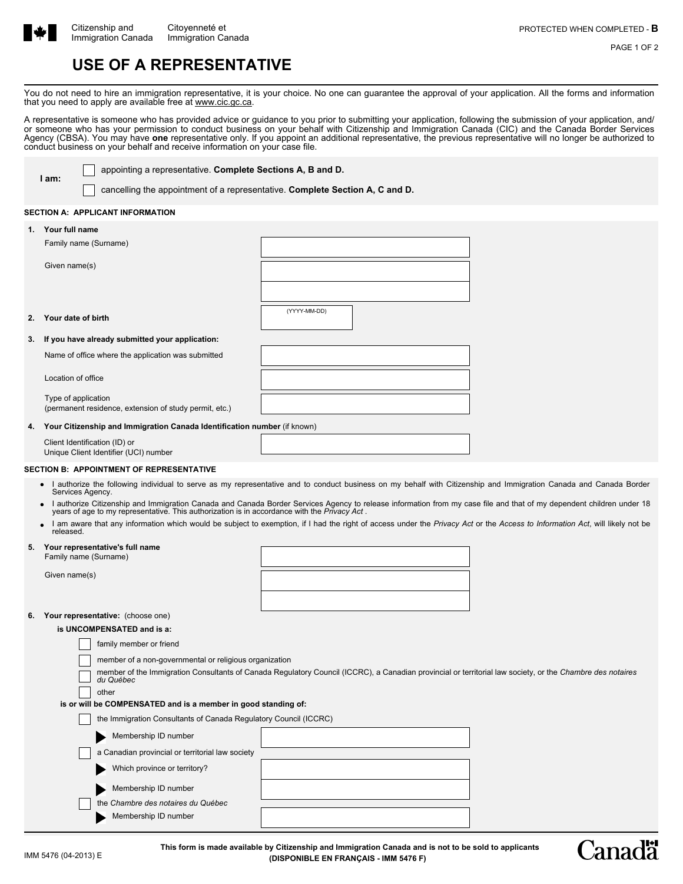

PAGE 1 OF 2

# **USE OF A REPRESENTATIVE**

You do not need to hire an immigration representative, it is your choice. No one can guarantee the approval of your application. All the forms and information that you need to apply are available free at www.cic.gc.ca.

A representative is someone who has provided advice or guidance to you prior to submitting your application, following the submission of your application, and/ or someone who has your permission to conduct business on your behalf with Citizenship and Immigration Canada (CIC) and the Canada Border Services Agency (CBSA). You may have **one** representative only. If you appoint an additional representative, the previous representative will no longer be authorized to conduct business on your behalf and receive information on your case file.

**I am:**

appointing a representative. **Complete Sections A, B and D.**

cancelling the appointment of a representative. **Complete Section A, C and D.**

## **SECTION A: APPLICANT INFORMATION**

| 1.             | Your full name                                                                |              |
|----------------|-------------------------------------------------------------------------------|--------------|
|                | Family name (Surname)                                                         |              |
|                | Given name(s)                                                                 |              |
|                |                                                                               |              |
| 2 <sub>1</sub> | Your date of birth                                                            | (YYYY-MM-DD) |
| 3.             | If you have already submitted your application:                               |              |
|                | Name of office where the application was submitted                            |              |
|                | Location of office                                                            |              |
|                | Type of application<br>(permanent residence, extension of study permit, etc.) |              |
| 4.             | Your Citizenship and Immigration Canada Identification number (if known)      |              |
|                | Client Identification (ID) or<br>Unique Client Identifier (UCI) number        |              |

# **SECTION B: APPOINTMENT OF REPRESENTATIVE**

- I authorize the following individual to serve as my representative and to conduct business on my behalf with Citizenship and Immigration Canada and Canada Border Services Agency. **•**
- I authorize Citizenship and Immigration Canada and Canada Border Services Agency to release information from my case file and that of my dependent children under 18<br>years of age to my representative. This authorization is **•**
- I am aware that any information which would be subject to exemption, if I had the right of access under the *Privacy Act* or the *Access to Information Act*, will likely not be released. **•**

# **5. Your representative's full name**

Family name (Surname)

Given name(s)

# **6. Your representative:** (choose one)

**is UNCOMPENSATED and is a:**

| family member or friend                                                                                                                                                |  |  |  |  |  |  |  |
|------------------------------------------------------------------------------------------------------------------------------------------------------------------------|--|--|--|--|--|--|--|
| member of a non-governmental or religious organization                                                                                                                 |  |  |  |  |  |  |  |
| member of the Immigration Consultants of Canada Regulatory Council (ICCRC), a Canadian provincial or territorial law society, or the Chambre des notaires<br>du Québec |  |  |  |  |  |  |  |
| other                                                                                                                                                                  |  |  |  |  |  |  |  |
| is or will be COMPENSATED and is a member in good standing of:                                                                                                         |  |  |  |  |  |  |  |
| the Immigration Consultants of Canada Regulatory Council (ICCRC)                                                                                                       |  |  |  |  |  |  |  |
| Membership ID number                                                                                                                                                   |  |  |  |  |  |  |  |
| a Canadian provincial or territorial law society                                                                                                                       |  |  |  |  |  |  |  |
| Which province or territory?                                                                                                                                           |  |  |  |  |  |  |  |
| Membership ID number                                                                                                                                                   |  |  |  |  |  |  |  |
| the Chambre des notaires du Québec                                                                                                                                     |  |  |  |  |  |  |  |
| Membership ID number                                                                                                                                                   |  |  |  |  |  |  |  |